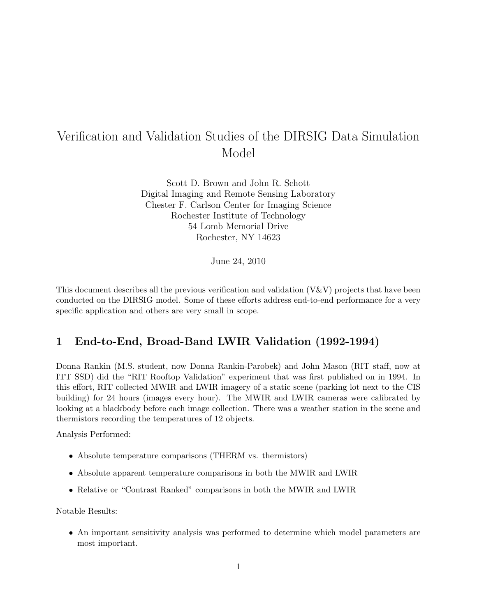# Verification and Validation Studies of the DIRSIG Data Simulation Model

Scott D. Brown and John R. Schott Digital Imaging and Remote Sensing Laboratory Chester F. Carlson Center for Imaging Science Rochester Institute of Technology 54 Lomb Memorial Drive Rochester, NY 14623

June 24, 2010

This document describes all the previous verification and validation (V&V) projects that have been conducted on the DIRSIG model. Some of these efforts address end-to-end performance for a very specific application and others are very small in scope.

### 1 End-to-End, Broad-Band LWIR Validation (1992-1994)

Donna Rankin (M.S. student, now Donna Rankin-Parobek) and John Mason (RIT staff, now at ITT SSD) did the "RIT Rooftop Validation" experiment that was first published on in 1994. In this effort, RIT collected MWIR and LWIR imagery of a static scene (parking lot next to the CIS building) for 24 hours (images every hour). The MWIR and LWIR cameras were calibrated by looking at a blackbody before each image collection. There was a weather station in the scene and thermistors recording the temperatures of 12 objects.

Analysis Performed:

- Absolute temperature comparisons (THERM vs. thermistors)
- Absolute apparent temperature comparisons in both the MWIR and LWIR
- Relative or "Contrast Ranked" comparisons in both the MWIR and LWIR

Notable Results:

• An important sensitivity analysis was performed to determine which model parameters are most important.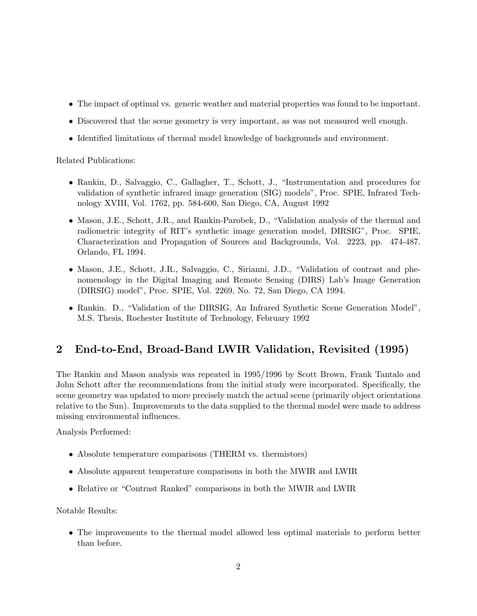- The impact of optimal vs. generic weather and material properties was found to be important.
- Discovered that the scene geometry is very important, as was not measured well enough.
- Identified limitations of thermal model knowledge of backgrounds and environment.

Related Publications:

- Rankin, D., Salvaggio, C., Gallagher, T., Schott, J., "Instrumentation and procedures for validation of synthetic infrared image generation (SIG) models", Proc. SPIE, Infrared Technology XVIII, Vol. 1762, pp. 584-600, San Diego, CA, August 1992
- Mason, J.E., Schott, J.R., and Rankin-Parobek, D., "Validation analysis of the thermal and radiometric integrity of RIT's synthetic image generation model, DIRSIG", Proc. SPIE, Characterization and Propagation of Sources and Backgrounds, Vol. 2223, pp. 474-487. Orlando, FL 1994.
- Mason, J.E., Schott, J.R., Salvaggio, C., Sirianni, J.D., "Validation of contrast and phenomenology in the Digital Imaging and Remote Sensing (DIRS) Lab's Image Generation (DIRSIG) model", Proc. SPIE, Vol. 2269, No. 72, San Diego, CA 1994.
- Rankin. D., "Validation of the DIRSIG, An Infrared Synthetic Scene Generation Model", M.S. Thesis, Rochester Institute of Technology, February 1992

# 2 End-to-End, Broad-Band LWIR Validation, Revisited (1995)

The Rankin and Mason analysis was repeated in 1995/1996 by Scott Brown, Frank Tantalo and John Schott after the recommendations from the initial study were incorporated. Specifically, the scene geometry was updated to more precisely match the actual scene (primarily object orientations relative to the Sun). Improvements to the data supplied to the thermal model were made to address missing environmental influences.

Analysis Performed:

- Absolute temperature comparisons (THERM vs. thermistors)
- Absolute apparent temperature comparisons in both the MWIR and LWIR
- Relative or "Contrast Ranked" comparisons in both the MWIR and LWIR

Notable Results:

• The improvements to the thermal model allowed less optimal materials to perform better than before.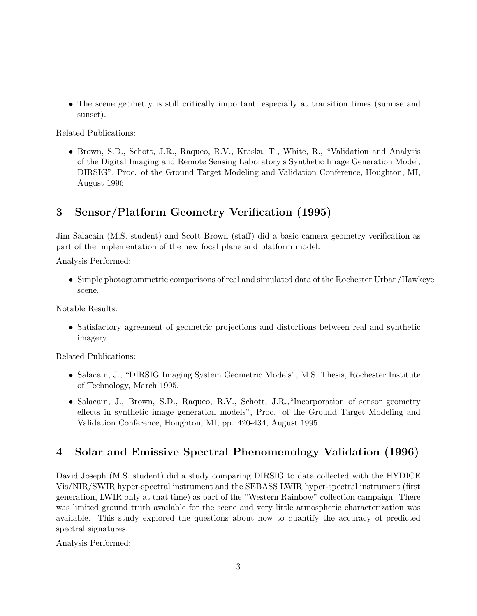• The scene geometry is still critically important, especially at transition times (sunrise and sunset).

Related Publications:

• Brown, S.D., Schott, J.R., Raqueo, R.V., Kraska, T., White, R., "Validation and Analysis of the Digital Imaging and Remote Sensing Laboratory's Synthetic Image Generation Model, DIRSIG", Proc. of the Ground Target Modeling and Validation Conference, Houghton, MI, August 1996

# 3 Sensor/Platform Geometry Verification (1995)

Jim Salacain (M.S. student) and Scott Brown (staff) did a basic camera geometry verification as part of the implementation of the new focal plane and platform model.

Analysis Performed:

• Simple photogrammetric comparisons of real and simulated data of the Rochester Urban/Hawkeye scene.

Notable Results:

• Satisfactory agreement of geometric projections and distortions between real and synthetic imagery.

Related Publications:

- Salacain, J., "DIRSIG Imaging System Geometric Models", M.S. Thesis, Rochester Institute of Technology, March 1995.
- Salacain, J., Brown, S.D., Raqueo, R.V., Schott, J.R.,"Incorporation of sensor geometry effects in synthetic image generation models", Proc. of the Ground Target Modeling and Validation Conference, Houghton, MI, pp. 420-434, August 1995

# 4 Solar and Emissive Spectral Phenomenology Validation (1996)

David Joseph (M.S. student) did a study comparing DIRSIG to data collected with the HYDICE Vis/NIR/SWIR hyper-spectral instrument and the SEBASS LWIR hyper-spectral instrument (first generation, LWIR only at that time) as part of the "Western Rainbow" collection campaign. There was limited ground truth available for the scene and very little atmospheric characterization was available. This study explored the questions about how to quantify the accuracy of predicted spectral signatures.

Analysis Performed: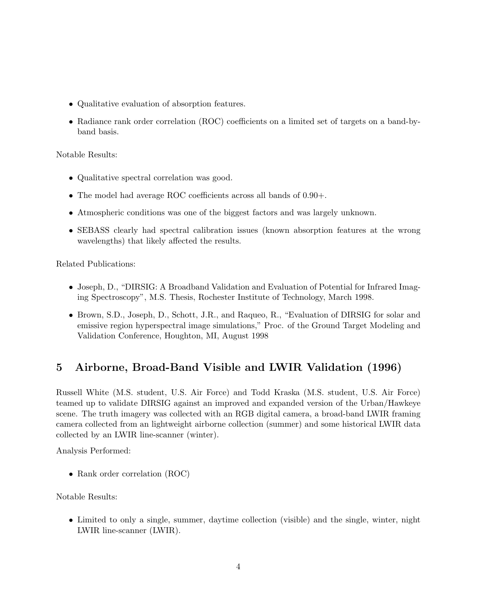- Qualitative evaluation of absorption features.
- Radiance rank order correlation (ROC) coefficients on a limited set of targets on a band-byband basis.

#### Notable Results:

- Qualitative spectral correlation was good.
- The model had average ROC coefficients across all bands of 0.90+.
- Atmospheric conditions was one of the biggest factors and was largely unknown.
- SEBASS clearly had spectral calibration issues (known absorption features at the wrong wavelengths) that likely affected the results.

Related Publications:

- Joseph, D., "DIRSIG: A Broadband Validation and Evaluation of Potential for Infrared Imaging Spectroscopy", M.S. Thesis, Rochester Institute of Technology, March 1998.
- Brown, S.D., Joseph, D., Schott, J.R., and Raqueo, R., "Evaluation of DIRSIG for solar and emissive region hyperspectral image simulations," Proc. of the Ground Target Modeling and Validation Conference, Houghton, MI, August 1998

# 5 Airborne, Broad-Band Visible and LWIR Validation (1996)

Russell White (M.S. student, U.S. Air Force) and Todd Kraska (M.S. student, U.S. Air Force) teamed up to validate DIRSIG against an improved and expanded version of the Urban/Hawkeye scene. The truth imagery was collected with an RGB digital camera, a broad-band LWIR framing camera collected from an lightweight airborne collection (summer) and some historical LWIR data collected by an LWIR line-scanner (winter).

Analysis Performed:

• Rank order correlation (ROC)

Notable Results:

• Limited to only a single, summer, daytime collection (visible) and the single, winter, night LWIR line-scanner (LWIR).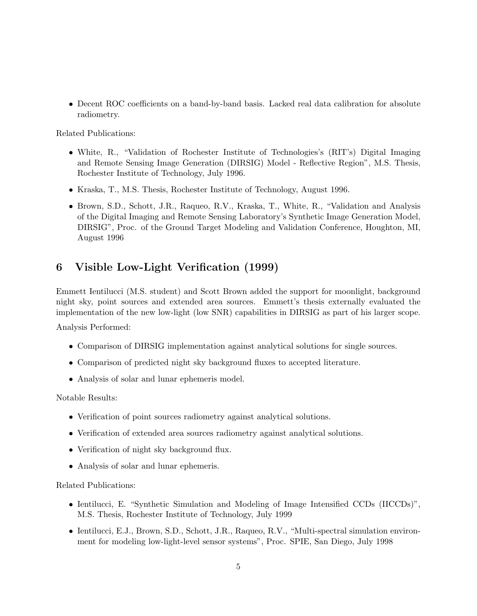• Decent ROC coefficients on a band-by-band basis. Lacked real data calibration for absolute radiometry.

Related Publications:

- White, R., "Validation of Rochester Institute of Technologies's (RIT's) Digital Imaging and Remote Sensing Image Generation (DIRSIG) Model - Reflective Region", M.S. Thesis, Rochester Institute of Technology, July 1996.
- Kraska, T., M.S. Thesis, Rochester Institute of Technology, August 1996.
- Brown, S.D., Schott, J.R., Raqueo, R.V., Kraska, T., White, R., "Validation and Analysis of the Digital Imaging and Remote Sensing Laboratory's Synthetic Image Generation Model, DIRSIG", Proc. of the Ground Target Modeling and Validation Conference, Houghton, MI, August 1996

### 6 Visible Low-Light Verification (1999)

Emmett Ientilucci (M.S. student) and Scott Brown added the support for moonlight, background night sky, point sources and extended area sources. Emmett's thesis externally evaluated the implementation of the new low-light (low SNR) capabilities in DIRSIG as part of his larger scope.

Analysis Performed:

- Comparison of DIRSIG implementation against analytical solutions for single sources.
- Comparison of predicted night sky background fluxes to accepted literature.
- Analysis of solar and lunar ephemeris model.

Notable Results:

- Verification of point sources radiometry against analytical solutions.
- Verification of extended area sources radiometry against analytical solutions.
- Verification of night sky background flux.
- Analysis of solar and lunar ephemeris.

- Ientilucci, E. "Synthetic Simulation and Modeling of Image Intensified CCDs (IICCDs)", M.S. Thesis, Rochester Institute of Technology, July 1999
- Ientilucci, E.J., Brown, S.D., Schott, J.R., Raqueo, R.V., "Multi-spectral simulation environment for modeling low-light-level sensor systems", Proc. SPIE, San Diego, July 1998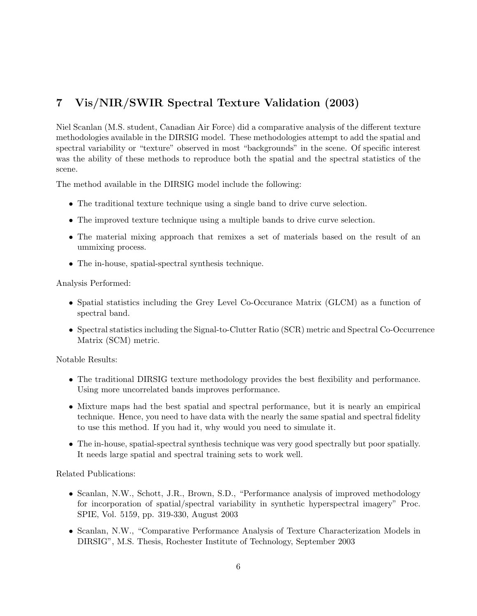# 7 Vis/NIR/SWIR Spectral Texture Validation (2003)

Niel Scanlan (M.S. student, Canadian Air Force) did a comparative analysis of the different texture methodologies available in the DIRSIG model. These methodologies attempt to add the spatial and spectral variability or "texture" observed in most "backgrounds" in the scene. Of specific interest was the ability of these methods to reproduce both the spatial and the spectral statistics of the scene.

The method available in the DIRSIG model include the following:

- The traditional texture technique using a single band to drive curve selection.
- The improved texture technique using a multiple bands to drive curve selection.
- The material mixing approach that remixes a set of materials based on the result of an ummixing process.
- The in-house, spatial-spectral synthesis technique.

Analysis Performed:

- Spatial statistics including the Grey Level Co-Occurance Matrix (GLCM) as a function of spectral band.
- Spectral statistics including the Signal-to-Clutter Ratio (SCR) metric and Spectral Co-Occurrence Matrix (SCM) metric.

Notable Results:

- The traditional DIRSIG texture methodology provides the best flexibility and performance. Using more uncorrelated bands improves performance.
- Mixture maps had the best spatial and spectral performance, but it is nearly an empirical technique. Hence, you need to have data with the nearly the same spatial and spectral fidelity to use this method. If you had it, why would you need to simulate it.
- The in-house, spatial-spectral synthesis technique was very good spectrally but poor spatially. It needs large spatial and spectral training sets to work well.

- Scanlan, N.W., Schott, J.R., Brown, S.D., "Performance analysis of improved methodology for incorporation of spatial/spectral variability in synthetic hyperspectral imagery" Proc. SPIE, Vol. 5159, pp. 319-330, August 2003
- Scanlan, N.W., "Comparative Performance Analysis of Texture Characterization Models in DIRSIG", M.S. Thesis, Rochester Institute of Technology, September 2003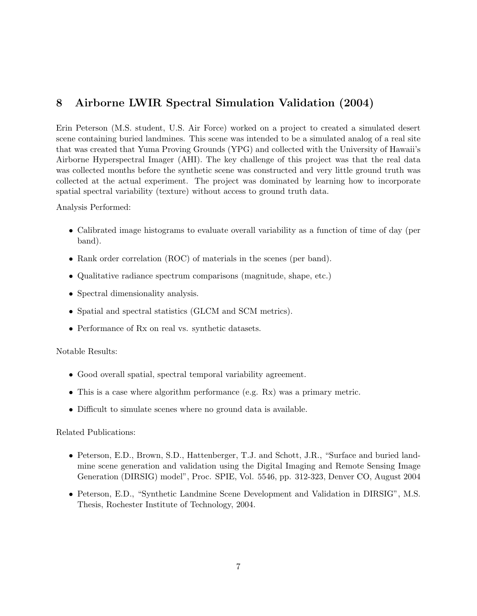### 8 Airborne LWIR Spectral Simulation Validation (2004)

Erin Peterson (M.S. student, U.S. Air Force) worked on a project to created a simulated desert scene containing buried landmines. This scene was intended to be a simulated analog of a real site that was created that Yuma Proving Grounds (YPG) and collected with the University of Hawaii's Airborne Hyperspectral Imager (AHI). The key challenge of this project was that the real data was collected months before the synthetic scene was constructed and very little ground truth was collected at the actual experiment. The project was dominated by learning how to incorporate spatial spectral variability (texture) without access to ground truth data.

#### Analysis Performed:

- Calibrated image histograms to evaluate overall variability as a function of time of day (per band).
- Rank order correlation (ROC) of materials in the scenes (per band).
- Qualitative radiance spectrum comparisons (magnitude, shape, etc.)
- Spectral dimensionality analysis.
- Spatial and spectral statistics (GLCM and SCM metrics).
- Performance of Rx on real vs. synthetic datasets.

#### Notable Results:

- Good overall spatial, spectral temporal variability agreement.
- This is a case where algorithm performance (e.g. Rx) was a primary metric.
- Difficult to simulate scenes where no ground data is available.

- Peterson, E.D., Brown, S.D., Hattenberger, T.J. and Schott, J.R., "Surface and buried landmine scene generation and validation using the Digital Imaging and Remote Sensing Image Generation (DIRSIG) model", Proc. SPIE, Vol. 5546, pp. 312-323, Denver CO, August 2004
- Peterson, E.D., "Synthetic Landmine Scene Development and Validation in DIRSIG", M.S. Thesis, Rochester Institute of Technology, 2004.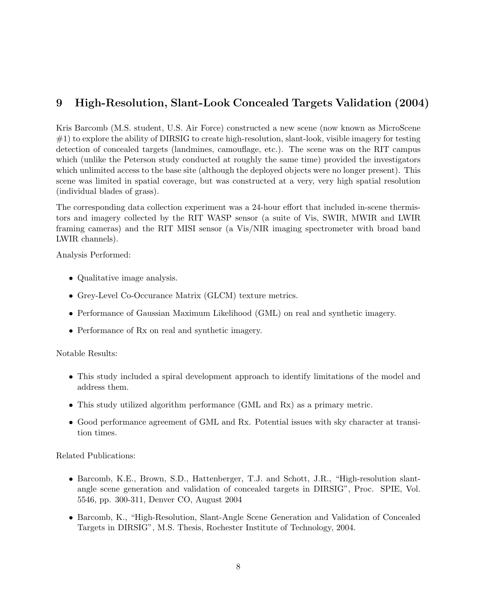# 9 High-Resolution, Slant-Look Concealed Targets Validation (2004)

Kris Barcomb (M.S. student, U.S. Air Force) constructed a new scene (now known as MicroScene #1) to explore the ability of DIRSIG to create high-resolution, slant-look, visible imagery for testing detection of concealed targets (landmines, camouflage, etc.). The scene was on the RIT campus which (unlike the Peterson study conducted at roughly the same time) provided the investigators which unlimited access to the base site (although the deployed objects were no longer present). This scene was limited in spatial coverage, but was constructed at a very, very high spatial resolution (individual blades of grass).

The corresponding data collection experiment was a 24-hour effort that included in-scene thermistors and imagery collected by the RIT WASP sensor (a suite of Vis, SWIR, MWIR and LWIR framing cameras) and the RIT MISI sensor (a Vis/NIR imaging spectrometer with broad band LWIR channels).

Analysis Performed:

- Qualitative image analysis.
- Grey-Level Co-Occurance Matrix (GLCM) texture metrics.
- Performance of Gaussian Maximum Likelihood (GML) on real and synthetic imagery.
- Performance of Rx on real and synthetic imagery.

#### Notable Results:

- This study included a spiral development approach to identify limitations of the model and address them.
- This study utilized algorithm performance (GML and Rx) as a primary metric.
- Good performance agreement of GML and Rx. Potential issues with sky character at transition times.

- Barcomb, K.E., Brown, S.D., Hattenberger, T.J. and Schott, J.R., "High-resolution slantangle scene generation and validation of concealed targets in DIRSIG", Proc. SPIE, Vol. 5546, pp. 300-311, Denver CO, August 2004
- Barcomb, K., "High-Resolution, Slant-Angle Scene Generation and Validation of Concealed Targets in DIRSIG", M.S. Thesis, Rochester Institute of Technology, 2004.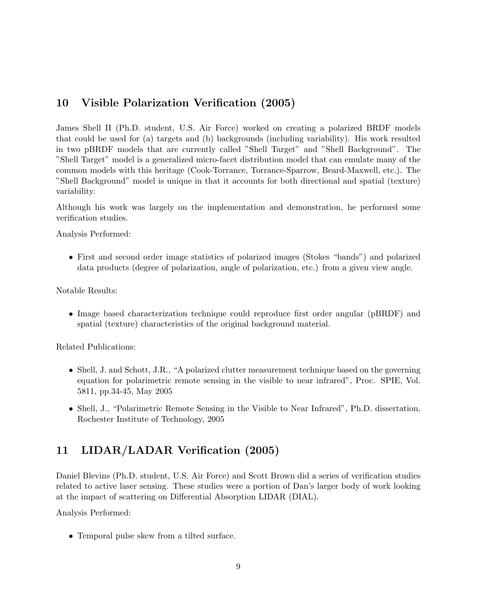### 10 Visible Polarization Verification (2005)

James Shell II (Ph.D. student, U.S. Air Force) worked on creating a polarized BRDF models that could be used for (a) targets and (b) backgrounds (including variability). His work resulted in two pBRDF models that are currently called "Shell Target" and "Shell Background". The "Shell Target" model is a generalized micro-facet distribution model that can emulate many of the common models with this heritage (Cook-Torrance, Torrance-Sparrow, Beard-Maxwell, etc.). The "Shell Background" model is unique in that it accounts for both directional and spatial (texture) variability.

Although his work was largely on the implementation and demonstration, he performed some verification studies.

Analysis Performed:

• First and second order image statistics of polarized images (Stokes "bands") and polarized data products (degree of polarization, angle of polarization, etc.) from a given view angle.

Notable Results:

• Image based characterization technique could reproduce first order angular (pBRDF) and spatial (texture) characteristics of the original background material.

Related Publications:

- Shell, J. and Schott, J.R., "A polarized clutter measurement technique based on the governing equation for polarimetric remote sensing in the visible to near infrared", Proc. SPIE, Vol. 5811, pp.34-45, May 2005
- Shell, J., "Polarimetric Remote Sensing in the Visible to Near Infrared", Ph.D. dissertation, Rochester Institute of Technology, 2005

### 11 LIDAR/LADAR Verification (2005)

Daniel Blevins (Ph.D. student, U.S. Air Force) and Scott Brown did a series of verification studies related to active laser sensing. These studies were a portion of Dan's larger body of work looking at the impact of scattering on Differential Absorption LIDAR (DIAL).

Analysis Performed:

• Temporal pulse skew from a tilted surface.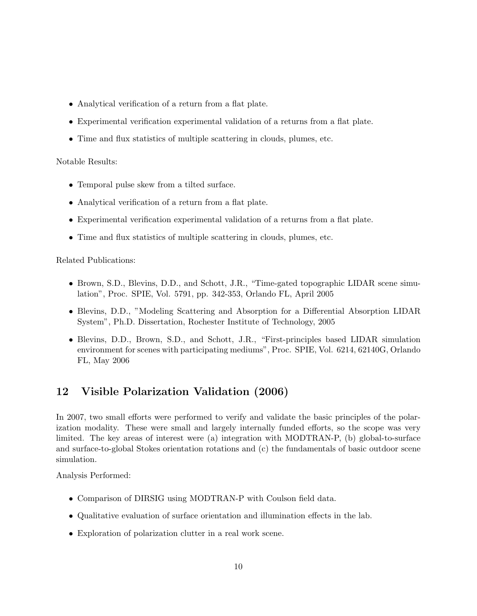- Analytical verification of a return from a flat plate.
- Experimental verification experimental validation of a returns from a flat plate.
- Time and flux statistics of multiple scattering in clouds, plumes, etc.

#### Notable Results:

- Temporal pulse skew from a tilted surface.
- Analytical verification of a return from a flat plate.
- Experimental verification experimental validation of a returns from a flat plate.
- Time and flux statistics of multiple scattering in clouds, plumes, etc.

Related Publications:

- Brown, S.D., Blevins, D.D., and Schott, J.R., "Time-gated topographic LIDAR scene simulation", Proc. SPIE, Vol. 5791, pp. 342-353, Orlando FL, April 2005
- Blevins, D.D., "Modeling Scattering and Absorption for a Differential Absorption LIDAR System", Ph.D. Dissertation, Rochester Institute of Technology, 2005
- Blevins, D.D., Brown, S.D., and Schott, J.R., "First-principles based LIDAR simulation environment for scenes with participating mediums", Proc. SPIE, Vol. 6214, 62140G, Orlando FL, May 2006

### 12 Visible Polarization Validation (2006)

In 2007, two small efforts were performed to verify and validate the basic principles of the polarization modality. These were small and largely internally funded efforts, so the scope was very limited. The key areas of interest were (a) integration with MODTRAN-P, (b) global-to-surface and surface-to-global Stokes orientation rotations and (c) the fundamentals of basic outdoor scene simulation.

Analysis Performed:

- Comparison of DIRSIG using MODTRAN-P with Coulson field data.
- Qualitative evaluation of surface orientation and illumination effects in the lab.
- Exploration of polarization clutter in a real work scene.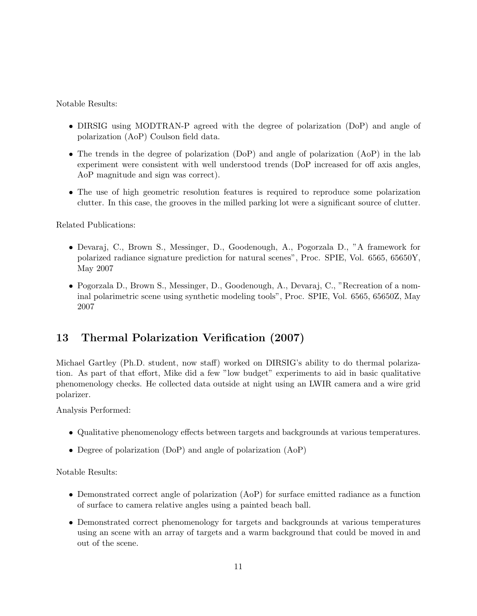Notable Results:

- DIRSIG using MODTRAN-P agreed with the degree of polarization (DoP) and angle of polarization (AoP) Coulson field data.
- The trends in the degree of polarization (DoP) and angle of polarization (AoP) in the lab experiment were consistent with well understood trends (DoP increased for off axis angles, AoP magnitude and sign was correct).
- The use of high geometric resolution features is required to reproduce some polarization clutter. In this case, the grooves in the milled parking lot were a significant source of clutter.

Related Publications:

- Devaraj, C., Brown S., Messinger, D., Goodenough, A., Pogorzala D., "A framework for polarized radiance signature prediction for natural scenes", Proc. SPIE, Vol. 6565, 65650Y, May 2007
- Pogorzala D., Brown S., Messinger, D., Goodenough, A., Devaraj, C., "Recreation of a nominal polarimetric scene using synthetic modeling tools", Proc. SPIE, Vol. 6565, 65650Z, May 2007

# 13 Thermal Polarization Verification (2007)

Michael Gartley (Ph.D. student, now staff) worked on DIRSIG's ability to do thermal polarization. As part of that effort, Mike did a few "low budget" experiments to aid in basic qualitative phenomenology checks. He collected data outside at night using an LWIR camera and a wire grid polarizer.

Analysis Performed:

- Qualitative phenomenology effects between targets and backgrounds at various temperatures.
- Degree of polarization (DoP) and angle of polarization (AoP)

Notable Results:

- Demonstrated correct angle of polarization (AoP) for surface emitted radiance as a function of surface to camera relative angles using a painted beach ball.
- Demonstrated correct phenomenology for targets and backgrounds at various temperatures using an scene with an array of targets and a warm background that could be moved in and out of the scene.